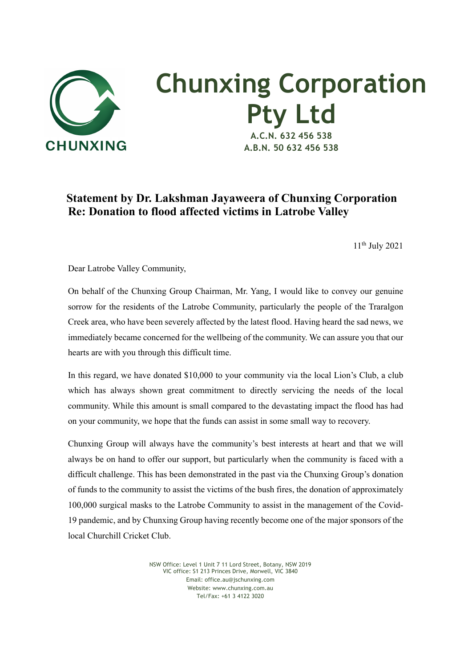

## **Chunxing Corporation Pty Ltd A.C.N. 632 456 538**

**A.B.N. 50 632 456 538**

## **Statement by Dr. Lakshman Jayaweera of Chunxing Corporation Re: Donation to flood affected victims in Latrobe Valley**

11th July 2021

Dear Latrobe Valley Community,

On behalf of the Chunxing Group Chairman, Mr. Yang, I would like to convey our genuine sorrow for the residents of the Latrobe Community, particularly the people of the Traralgon Creek area, who have been severely affected by the latest flood. Having heard the sad news, we immediately became concerned for the wellbeing of the community. We can assure you that our hearts are with you through this difficult time.

In this regard, we have donated \$10,000 to your community via the local Lion's Club, a club which has always shown great commitment to directly servicing the needs of the local community. While this amount is small compared to the devastating impact the flood has had on your community, we hope that the funds can assist in some small way to recovery.

Chunxing Group will always have the community's best interests at heart and that we will always be on hand to offer our support, but particularly when the community is faced with a difficult challenge. This has been demonstrated in the past via the Chunxing Group's donation of funds to the community to assist the victims of the bush fires, the donation of approximately 100,000 surgical masks to the Latrobe Community to assist in the management of the Covid-19 pandemic, and by Chunxing Group having recently become one of the major sponsors of the local Churchill Cricket Club.

> NSW Office: Level 1 Unit 7 11 Lord Street, Botany, NSW 2019 VIC office: S1 213 Princes Drive, Morwell, VIC 3840 Email: office.au@jschunxing.com Website: www.chunxing.com.au Tel/Fax: +61 3 4122 3020